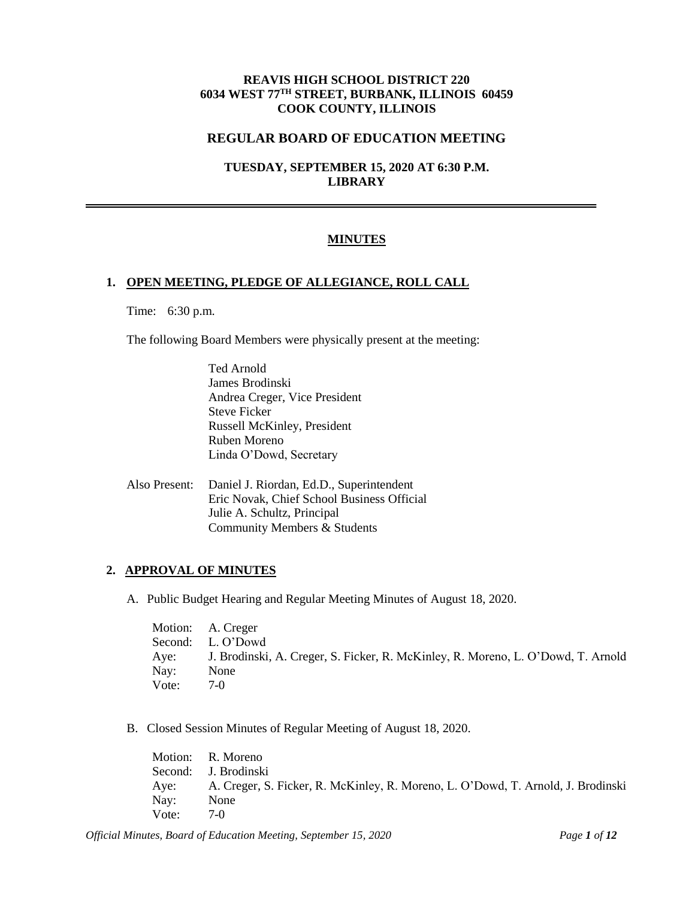## **REAVIS HIGH SCHOOL DISTRICT 220 6034 WEST 77TH STREET, BURBANK, ILLINOIS 60459 COOK COUNTY, ILLINOIS**

#### **REGULAR BOARD OF EDUCATION MEETING**

## **TUESDAY, SEPTEMBER 15, 2020 AT 6:30 P.M. LIBRARY**

#### **MINUTES**

#### **1. OPEN MEETING, PLEDGE OF ALLEGIANCE, ROLL CALL**

Time: 6:30 p.m.

The following Board Members were physically present at the meeting:

- Ted Arnold James Brodinski Andrea Creger, Vice President Steve Ficker Russell McKinley, President Ruben Moreno Linda O'Dowd, Secretary
- Also Present: Daniel J. Riordan, Ed.D., Superintendent Eric Novak, Chief School Business Official Julie A. Schultz, Principal Community Members & Students

## **2. APPROVAL OF MINUTES**

A. Public Budget Hearing and Regular Meeting Minutes of August 18, 2020.

|       | Motion: A. Creger                                                                     |
|-------|---------------------------------------------------------------------------------------|
|       | Second: L. O'Dowd                                                                     |
|       | Aye: J. Brodinski, A. Creger, S. Ficker, R. McKinley, R. Moreno, L. O'Dowd, T. Arnold |
| Nay:  | None                                                                                  |
| Vote: | $7-0$                                                                                 |

B. Closed Session Minutes of Regular Meeting of August 18, 2020.

Motion: R. Moreno Second: J. Brodinski Aye: A. Creger, S. Ficker, R. McKinley, R. Moreno, L. O'Dowd, T. Arnold, J. Brodinski Nay: None Vote: 7-0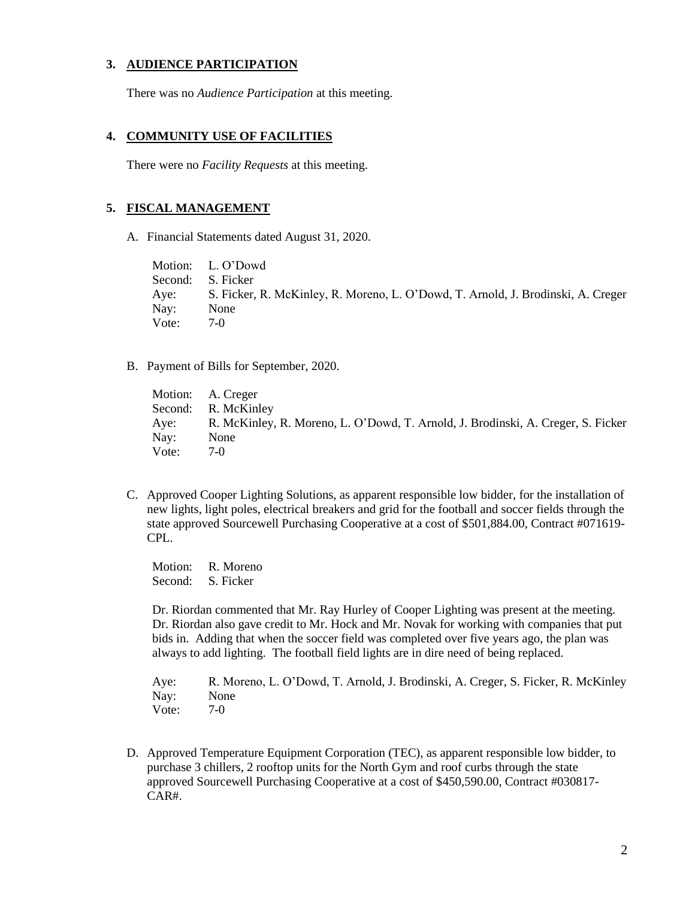## **3. AUDIENCE PARTICIPATION**

There was no *Audience Participation* at this meeting.

#### **4. COMMUNITY USE OF FACILITIES**

There were no *Facility Requests* at this meeting.

#### **5. FISCAL MANAGEMENT**

A. Financial Statements dated August 31, 2020.

Motion: L. O'Dowd Second: S. Ficker Aye: S. Ficker, R. McKinley, R. Moreno, L. O'Dowd, T. Arnold, J. Brodinski, A. Creger Nay: None Vote: 7-0

B. Payment of Bills for September, 2020.

Motion: A. Creger Second: R. McKinley Aye: R. McKinley, R. Moreno, L. O'Dowd, T. Arnold, J. Brodinski, A. Creger, S. Ficker Nay: None Vote: 7-0

C. Approved Cooper Lighting Solutions, as apparent responsible low bidder, for the installation of new lights, light poles, electrical breakers and grid for the football and soccer fields through the state approved Sourcewell Purchasing Cooperative at a cost of \$501,884.00, Contract #071619- CPL.

Motion: R. Moreno Second: S. Ficker

Dr. Riordan commented that Mr. Ray Hurley of Cooper Lighting was present at the meeting. Dr. Riordan also gave credit to Mr. Hock and Mr. Novak for working with companies that put bids in. Adding that when the soccer field was completed over five years ago, the plan was always to add lighting. The football field lights are in dire need of being replaced.

Aye: R. Moreno, L. O'Dowd, T. Arnold, J. Brodinski, A. Creger, S. Ficker, R. McKinley Nay: None Vote: 7-0

D. Approved Temperature Equipment Corporation (TEC), as apparent responsible low bidder, to purchase 3 chillers, 2 rooftop units for the North Gym and roof curbs through the state approved Sourcewell Purchasing Cooperative at a cost of \$450,590.00, Contract #030817- CAR#.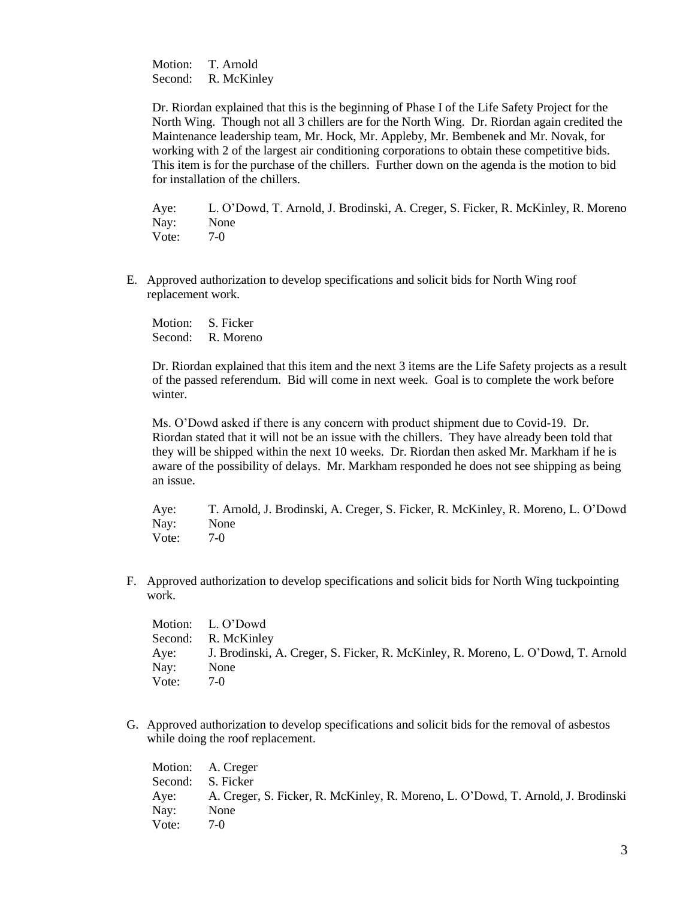Motion: T. Arnold Second: R. McKinley

Dr. Riordan explained that this is the beginning of Phase I of the Life Safety Project for the North Wing. Though not all 3 chillers are for the North Wing. Dr. Riordan again credited the Maintenance leadership team, Mr. Hock, Mr. Appleby, Mr. Bembenek and Mr. Novak, for working with 2 of the largest air conditioning corporations to obtain these competitive bids. This item is for the purchase of the chillers. Further down on the agenda is the motion to bid for installation of the chillers.

Aye: L. O'Dowd, T. Arnold, J. Brodinski, A. Creger, S. Ficker, R. McKinley, R. Moreno Nay: None Vote: 7-0

E. Approved authorization to develop specifications and solicit bids for North Wing roof replacement work.

Motion: S. Ficker Second: R. Moreno

Dr. Riordan explained that this item and the next 3 items are the Life Safety projects as a result of the passed referendum. Bid will come in next week. Goal is to complete the work before winter.

Ms. O'Dowd asked if there is any concern with product shipment due to Covid-19. Dr. Riordan stated that it will not be an issue with the chillers. They have already been told that they will be shipped within the next 10 weeks. Dr. Riordan then asked Mr. Markham if he is aware of the possibility of delays. Mr. Markham responded he does not see shipping as being an issue.

Aye: T. Arnold, J. Brodinski, A. Creger, S. Ficker, R. McKinley, R. Moreno, L. O'Dowd Nay: None Vote: 7-0

F. Approved authorization to develop specifications and solicit bids for North Wing tuckpointing work.

Motion: L. O'Dowd Second: R. McKinley Aye: J. Brodinski, A. Creger, S. Ficker, R. McKinley, R. Moreno, L. O'Dowd, T. Arnold Nay: None Vote: 7-0

G. Approved authorization to develop specifications and solicit bids for the removal of asbestos while doing the roof replacement.

Motion: A. Creger Second: S. Ficker Aye: A. Creger, S. Ficker, R. McKinley, R. Moreno, L. O'Dowd, T. Arnold, J. Brodinski Nay: None Vote: 7-0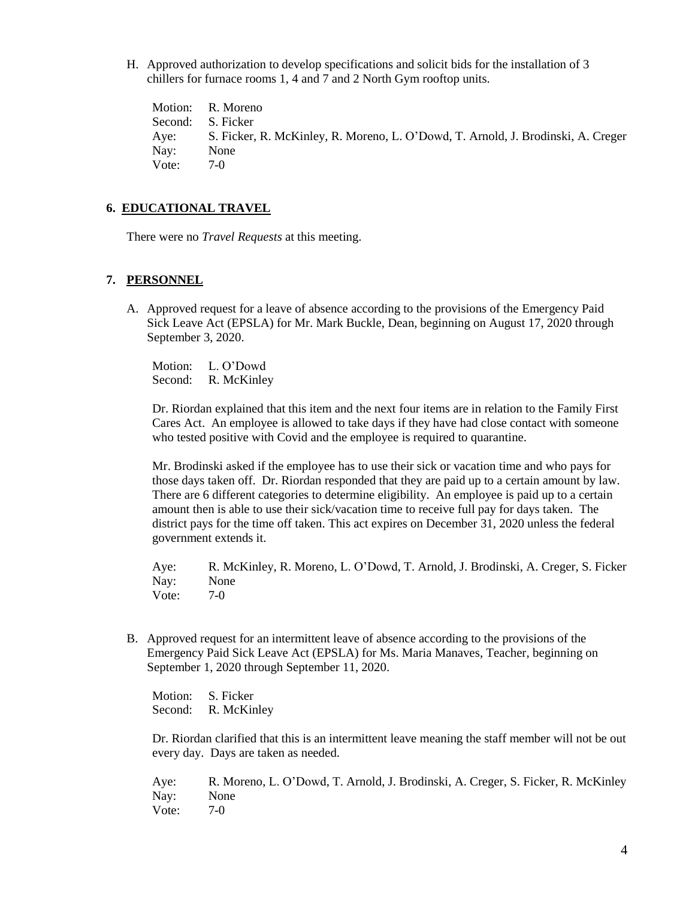H. Approved authorization to develop specifications and solicit bids for the installation of 3 chillers for furnace rooms 1, 4 and 7 and 2 North Gym rooftop units.

Motion: R. Moreno Second: S. Ficker Aye: S. Ficker, R. McKinley, R. Moreno, L. O'Dowd, T. Arnold, J. Brodinski, A. Creger Nay: None Vote: 7-0

## **6. EDUCATIONAL TRAVEL**

There were no *Travel Requests* at this meeting.

## **7. PERSONNEL**

A. Approved request for a leave of absence according to the provisions of the Emergency Paid Sick Leave Act (EPSLA) for Mr. Mark Buckle, Dean, beginning on August 17, 2020 through September 3, 2020.

Motion: L. O'Dowd Second: R. McKinley

Dr. Riordan explained that this item and the next four items are in relation to the Family First Cares Act. An employee is allowed to take days if they have had close contact with someone who tested positive with Covid and the employee is required to quarantine.

Mr. Brodinski asked if the employee has to use their sick or vacation time and who pays for those days taken off. Dr. Riordan responded that they are paid up to a certain amount by law. There are 6 different categories to determine eligibility. An employee is paid up to a certain amount then is able to use their sick/vacation time to receive full pay for days taken. The district pays for the time off taken. This act expires on December 31, 2020 unless the federal government extends it.

Aye: R. McKinley, R. Moreno, L. O'Dowd, T. Arnold, J. Brodinski, A. Creger, S. Ficker Nay: None Vote: 7-0

B. Approved request for an intermittent leave of absence according to the provisions of the Emergency Paid Sick Leave Act (EPSLA) for Ms. Maria Manaves, Teacher, beginning on September 1, 2020 through September 11, 2020.

Motion: S. Ficker Second: R. McKinley

Dr. Riordan clarified that this is an intermittent leave meaning the staff member will not be out every day. Days are taken as needed.

Aye: R. Moreno, L. O'Dowd, T. Arnold, J. Brodinski, A. Creger, S. Ficker, R. McKinley Nay: None Vote: 7-0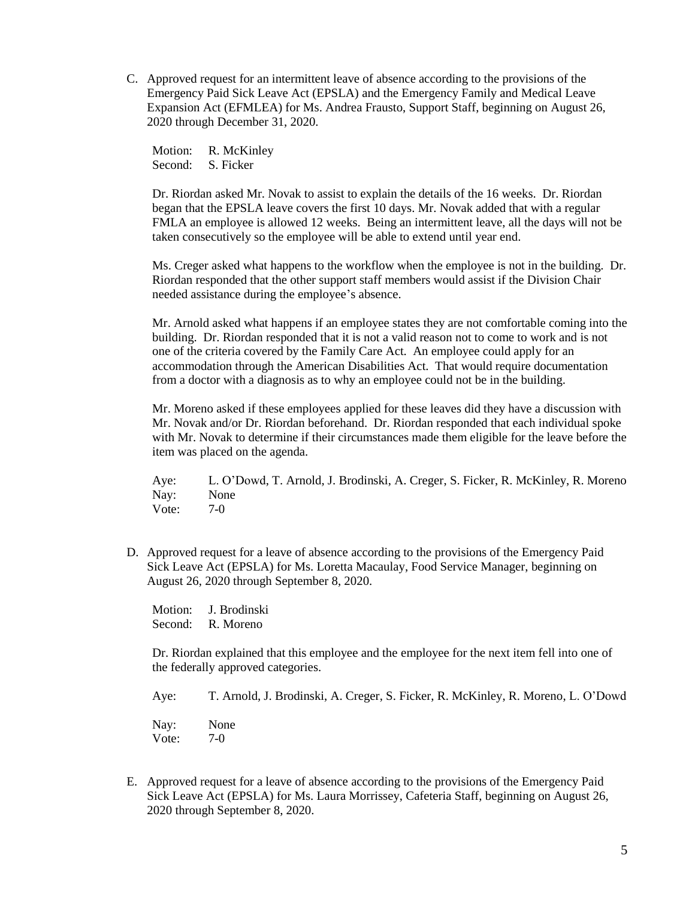C. Approved request for an intermittent leave of absence according to the provisions of the Emergency Paid Sick Leave Act (EPSLA) and the Emergency Family and Medical Leave Expansion Act (EFMLEA) for Ms. Andrea Frausto, Support Staff, beginning on August 26, 2020 through December 31, 2020.

Motion: R. McKinley Second: S. Ficker

Dr. Riordan asked Mr. Novak to assist to explain the details of the 16 weeks. Dr. Riordan began that the EPSLA leave covers the first 10 days. Mr. Novak added that with a regular FMLA an employee is allowed 12 weeks. Being an intermittent leave, all the days will not be taken consecutively so the employee will be able to extend until year end.

Ms. Creger asked what happens to the workflow when the employee is not in the building. Dr. Riordan responded that the other support staff members would assist if the Division Chair needed assistance during the employee's absence.

Mr. Arnold asked what happens if an employee states they are not comfortable coming into the building. Dr. Riordan responded that it is not a valid reason not to come to work and is not one of the criteria covered by the Family Care Act. An employee could apply for an accommodation through the American Disabilities Act. That would require documentation from a doctor with a diagnosis as to why an employee could not be in the building.

Mr. Moreno asked if these employees applied for these leaves did they have a discussion with Mr. Novak and/or Dr. Riordan beforehand. Dr. Riordan responded that each individual spoke with Mr. Novak to determine if their circumstances made them eligible for the leave before the item was placed on the agenda.

Aye: L. O'Dowd, T. Arnold, J. Brodinski, A. Creger, S. Ficker, R. McKinley, R. Moreno Nay: None Vote: 7-0

D. Approved request for a leave of absence according to the provisions of the Emergency Paid Sick Leave Act (EPSLA) for Ms. Loretta Macaulay, Food Service Manager, beginning on August 26, 2020 through September 8, 2020.

Motion: J. Brodinski Second: R. Moreno

Dr. Riordan explained that this employee and the employee for the next item fell into one of the federally approved categories.

Aye: T. Arnold, J. Brodinski, A. Creger, S. Ficker, R. McKinley, R. Moreno, L. O'Dowd

Nay: None Vote: 7-0

E. Approved request for a leave of absence according to the provisions of the Emergency Paid Sick Leave Act (EPSLA) for Ms. Laura Morrissey, Cafeteria Staff, beginning on August 26, 2020 through September 8, 2020.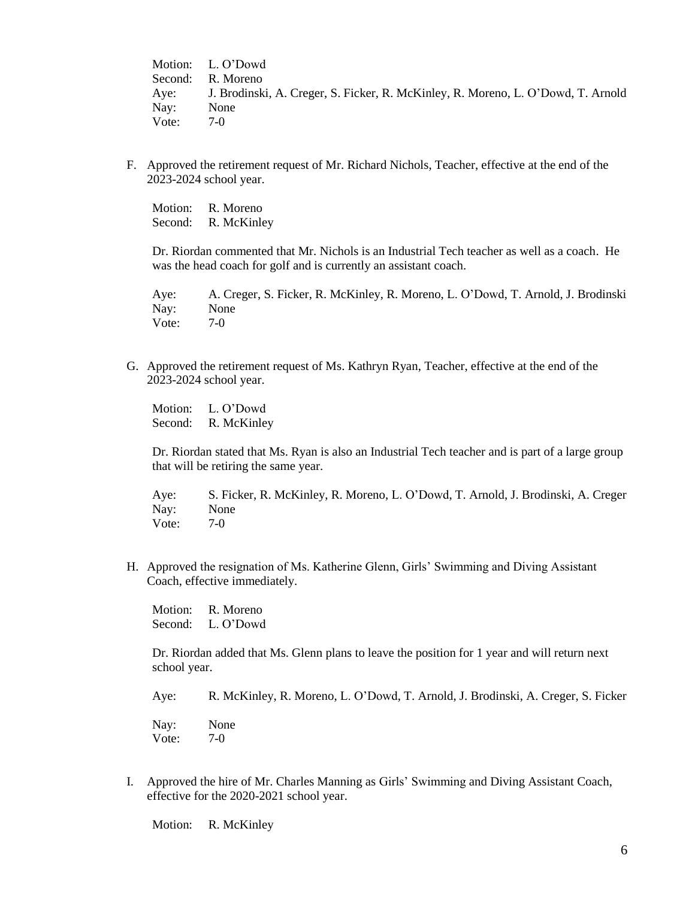Motion: L. O'Dowd Second: R. Moreno Aye: J. Brodinski, A. Creger, S. Ficker, R. McKinley, R. Moreno, L. O'Dowd, T. Arnold Nay: None Vote: 7-0

F. Approved the retirement request of Mr. Richard Nichols, Teacher, effective at the end of the 2023-2024 school year.

Motion: R. Moreno Second: R. McKinley

Dr. Riordan commented that Mr. Nichols is an Industrial Tech teacher as well as a coach. He was the head coach for golf and is currently an assistant coach.

Aye: A. Creger, S. Ficker, R. McKinley, R. Moreno, L. O'Dowd, T. Arnold, J. Brodinski Nay: None Vote: 7-0

G. Approved the retirement request of Ms. Kathryn Ryan, Teacher, effective at the end of the 2023-2024 school year.

Motion: L. O'Dowd Second: R. McKinley

Dr. Riordan stated that Ms. Ryan is also an Industrial Tech teacher and is part of a large group that will be retiring the same year.

Aye: S. Ficker, R. McKinley, R. Moreno, L. O'Dowd, T. Arnold, J. Brodinski, A. Creger Nay: None Vote: 7-0

H. Approved the resignation of Ms. Katherine Glenn, Girls' Swimming and Diving Assistant Coach, effective immediately.

Motion: R. Moreno Second: L. O'Dowd

Dr. Riordan added that Ms. Glenn plans to leave the position for 1 year and will return next school year.

Aye: R. McKinley, R. Moreno, L. O'Dowd, T. Arnold, J. Brodinski, A. Creger, S. Ficker

Nay: None Vote: 7-0

I. Approved the hire of Mr. Charles Manning as Girls' Swimming and Diving Assistant Coach, effective for the 2020-2021 school year.

Motion: R. McKinley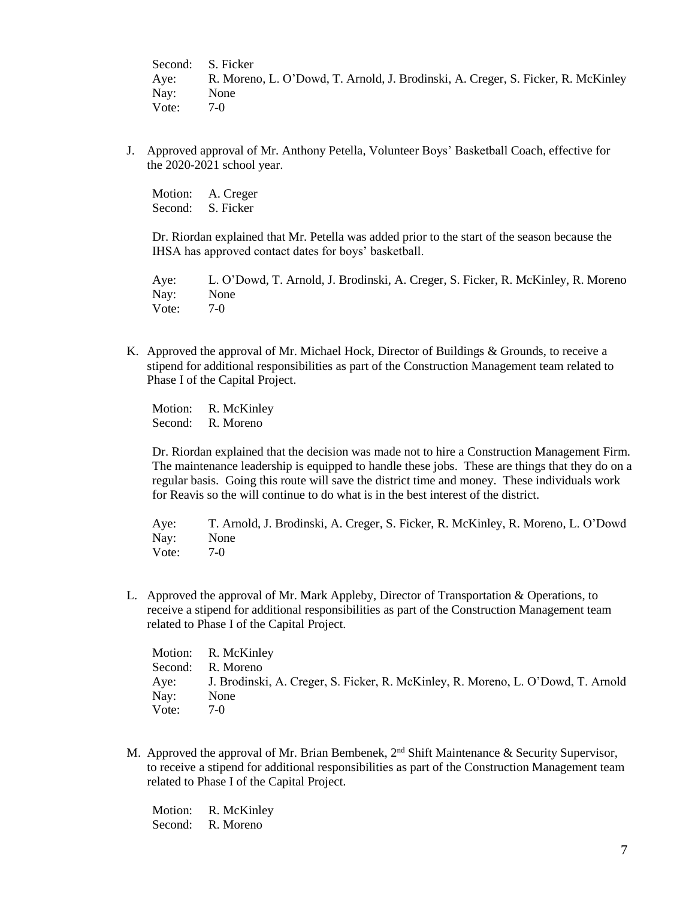Second: S. Ficker Aye: R. Moreno, L. O'Dowd, T. Arnold, J. Brodinski, A. Creger, S. Ficker, R. McKinley Nay: None Vote: 7-0

J. Approved approval of Mr. Anthony Petella, Volunteer Boys' Basketball Coach, effective for the 2020-2021 school year.

Motion: A. Creger Second: S. Ficker

Dr. Riordan explained that Mr. Petella was added prior to the start of the season because the IHSA has approved contact dates for boys' basketball.

Aye: L. O'Dowd, T. Arnold, J. Brodinski, A. Creger, S. Ficker, R. McKinley, R. Moreno Nay: None Vote: 7-0

K. Approved the approval of Mr. Michael Hock, Director of Buildings & Grounds, to receive a stipend for additional responsibilities as part of the Construction Management team related to Phase I of the Capital Project.

Motion: R. McKinley Second: R. Moreno

Dr. Riordan explained that the decision was made not to hire a Construction Management Firm. The maintenance leadership is equipped to handle these jobs. These are things that they do on a regular basis. Going this route will save the district time and money. These individuals work for Reavis so the will continue to do what is in the best interest of the district.

Aye: T. Arnold, J. Brodinski, A. Creger, S. Ficker, R. McKinley, R. Moreno, L. O'Dowd Nay: None Vote: 7-0

L. Approved the approval of Mr. Mark Appleby, Director of Transportation & Operations, to receive a stipend for additional responsibilities as part of the Construction Management team related to Phase I of the Capital Project.

| Motion: R. McKinley                                                                   |
|---------------------------------------------------------------------------------------|
| Second: R. Moreno                                                                     |
| Aye: J. Brodinski, A. Creger, S. Ficker, R. McKinley, R. Moreno, L. O'Dowd, T. Arnold |
| None                                                                                  |
| $7-0$                                                                                 |
|                                                                                       |

M. Approved the approval of Mr. Brian Bembenek, 2<sup>nd</sup> Shift Maintenance & Security Supervisor, to receive a stipend for additional responsibilities as part of the Construction Management team related to Phase I of the Capital Project.

Motion: R. McKinley Second: R. Moreno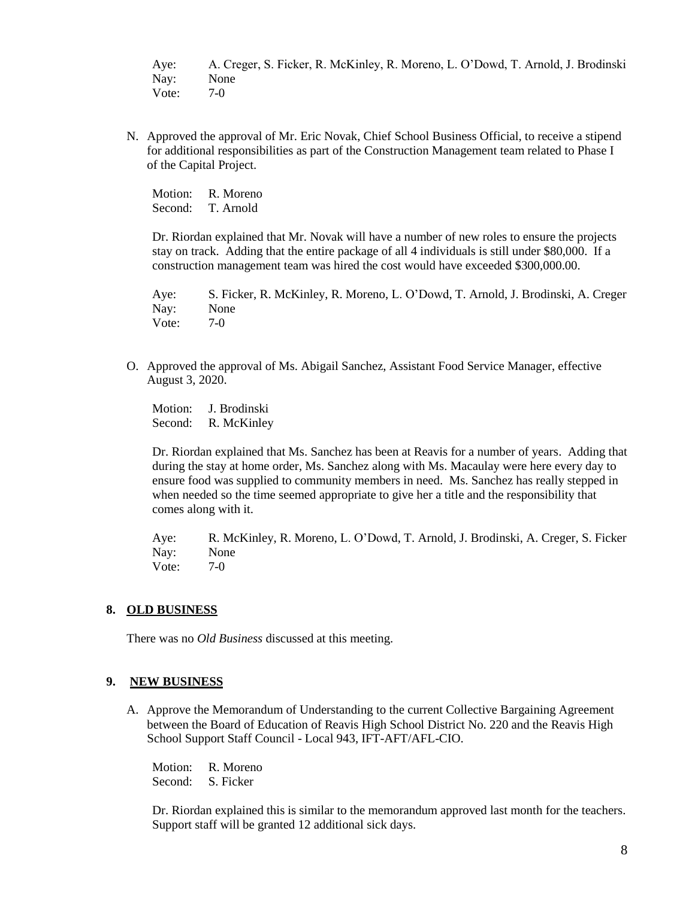Aye: A. Creger, S. Ficker, R. McKinley, R. Moreno, L. O'Dowd, T. Arnold, J. Brodinski Nay: None Vote: 7-0

N. Approved the approval of Mr. Eric Novak, Chief School Business Official, to receive a stipend for additional responsibilities as part of the Construction Management team related to Phase I of the Capital Project.

Motion: R. Moreno Second: T. Arnold

Dr. Riordan explained that Mr. Novak will have a number of new roles to ensure the projects stay on track. Adding that the entire package of all 4 individuals is still under \$80,000. If a construction management team was hired the cost would have exceeded \$300,000.00.

Aye: S. Ficker, R. McKinley, R. Moreno, L. O'Dowd, T. Arnold, J. Brodinski, A. Creger Nay: None Vote: 7-0

O. Approved the approval of Ms. Abigail Sanchez, Assistant Food Service Manager, effective August 3, 2020.

Motion: J. Brodinski Second: R. McKinley

Dr. Riordan explained that Ms. Sanchez has been at Reavis for a number of years. Adding that during the stay at home order, Ms. Sanchez along with Ms. Macaulay were here every day to ensure food was supplied to community members in need. Ms. Sanchez has really stepped in when needed so the time seemed appropriate to give her a title and the responsibility that comes along with it.

Aye: R. McKinley, R. Moreno, L. O'Dowd, T. Arnold, J. Brodinski, A. Creger, S. Ficker Nay: None Vote: 7-0

## **8. OLD BUSINESS**

There was no *Old Business* discussed at this meeting.

## **9. NEW BUSINESS**

A. Approve the Memorandum of Understanding to the current Collective Bargaining Agreement between the Board of Education of Reavis High School District No. 220 and the Reavis High School Support Staff Council - Local 943, IFT-AFT/AFL-CIO.

Motion: R. Moreno Second: S. Ficker

Dr. Riordan explained this is similar to the memorandum approved last month for the teachers. Support staff will be granted 12 additional sick days.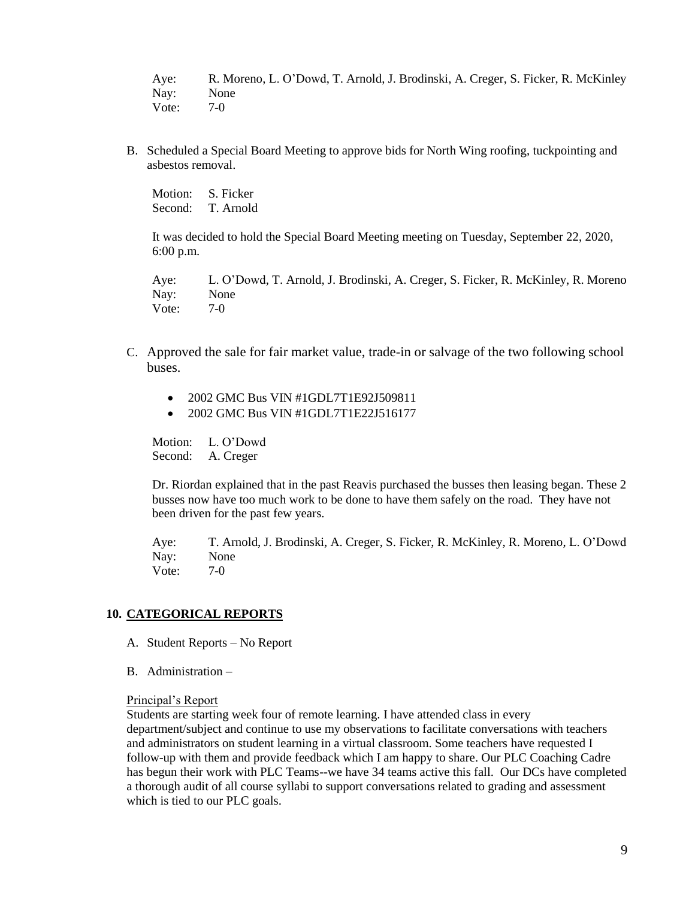Aye: R. Moreno, L. O'Dowd, T. Arnold, J. Brodinski, A. Creger, S. Ficker, R. McKinley Nay: None<br>Vote: 7-0 Vote:

B. Scheduled a Special Board Meeting to approve bids for North Wing roofing, tuckpointing and asbestos removal.

Motion: S. Ficker Second: T. Arnold

It was decided to hold the Special Board Meeting meeting on Tuesday, September 22, 2020, 6:00 p.m.

Aye: L. O'Dowd, T. Arnold, J. Brodinski, A. Creger, S. Ficker, R. McKinley, R. Moreno Nay: None Vote: 7-0

- C. Approved the sale for fair market value, trade-in or salvage of the two following school buses.
	- 2002 GMC Bus VIN #1GDL7T1E92J509811
	- 2002 GMC Bus VIN #1GDL7T1E22J516177

Motion: L. O'Dowd Second: A. Creger

Dr. Riordan explained that in the past Reavis purchased the busses then leasing began. These 2 busses now have too much work to be done to have them safely on the road. They have not been driven for the past few years.

Aye: T. Arnold, J. Brodinski, A. Creger, S. Ficker, R. McKinley, R. Moreno, L. O'Dowd Nay: None Vote: 7-0

## **10. CATEGORICAL REPORTS**

- A. Student Reports No Report
- B. Administration –

Principal's Report

Students are starting week four of remote learning. I have attended class in every department/subject and continue to use my observations to facilitate conversations with teachers and administrators on student learning in a virtual classroom. Some teachers have requested I follow-up with them and provide feedback which I am happy to share. Our PLC Coaching Cadre has begun their work with PLC Teams--we have 34 teams active this fall. Our DCs have completed a thorough audit of all course syllabi to support conversations related to grading and assessment which is tied to our PLC goals.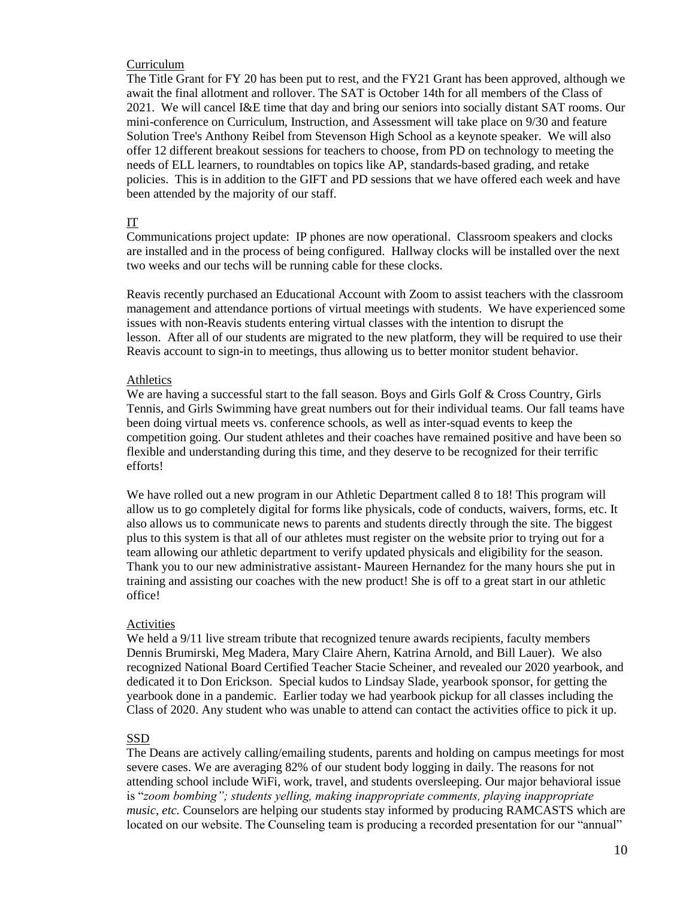#### Curriculum

The Title Grant for FY 20 has been put to rest, and the FY21 Grant has been approved, although we await the final allotment and rollover. The SAT is October 14th for all members of the Class of 2021. We will cancel I&E time that day and bring our seniors into socially distant SAT rooms. Our mini-conference on Curriculum, Instruction, and Assessment will take place on 9/30 and feature Solution Tree's Anthony Reibel from Stevenson High School as a keynote speaker. We will also offer 12 different breakout sessions for teachers to choose, from PD on technology to meeting the needs of ELL learners, to roundtables on topics like AP, standards-based grading, and retake policies. This is in addition to the GIFT and PD sessions that we have offered each week and have been attended by the majority of our staff.

#### IT

Communications project update: IP phones are now operational. Classroom speakers and clocks are installed and in the process of being configured. Hallway clocks will be installed over the next two weeks and our techs will be running cable for these clocks.

Reavis recently purchased an Educational Account with Zoom to assist teachers with the classroom management and attendance portions of virtual meetings with students. We have experienced some issues with non-Reavis students entering virtual classes with the intention to disrupt the lesson. After all of our students are migrated to the new platform, they will be required to use their Reavis account to sign-in to meetings, thus allowing us to better monitor student behavior.

#### **Athletics**

We are having a successful start to the fall season. Boys and Girls Golf & Cross Country, Girls Tennis, and Girls Swimming have great numbers out for their individual teams. Our fall teams have been doing virtual meets vs. conference schools, as well as inter-squad events to keep the competition going. Our student athletes and their coaches have remained positive and have been so flexible and understanding during this time, and they deserve to be recognized for their terrific efforts!

We have rolled out a new program in our Athletic Department called 8 to 18! This program will allow us to go completely digital for forms like physicals, code of conducts, waivers, forms, etc. It also allows us to communicate news to parents and students directly through the site. The biggest plus to this system is that all of our athletes must register on the website prior to trying out for a team allowing our athletic department to verify updated physicals and eligibility for the season. Thank you to our new administrative assistant- Maureen Hernandez for the many hours she put in training and assisting our coaches with the new product! She is off to a great start in our athletic office!

#### Activities

We held a  $9/11$  live stream tribute that recognized tenure awards recipients, faculty members Dennis Brumirski, Meg Madera, Mary Claire Ahern, Katrina Arnold, and Bill Lauer). We also recognized National Board Certified Teacher Stacie Scheiner, and revealed our 2020 yearbook, and dedicated it to Don Erickson. Special kudos to Lindsay Slade, yearbook sponsor, for getting the yearbook done in a pandemic. Earlier today we had yearbook pickup for all classes including the Class of 2020. Any student who was unable to attend can contact the activities office to pick it up.

## SSD

The Deans are actively calling/emailing students, parents and holding on campus meetings for most severe cases. We are averaging 82% of our student body logging in daily. The reasons for not attending school include WiFi, work, travel, and students oversleeping. Our major behavioral issue is "*zoom bombing"; students yelling, making inappropriate comments, playing inappropriate music, etc.* Counselors are helping our students stay informed by producing RAMCASTS which are located on our website. The Counseling team is producing a recorded presentation for our "annual"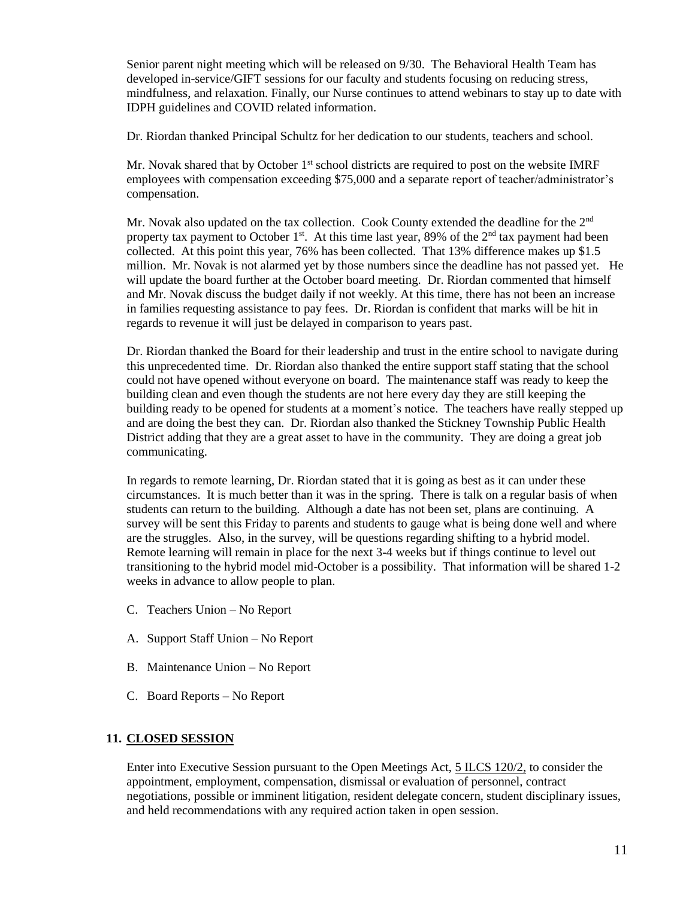Senior parent night meeting which will be released on 9/30. The Behavioral Health Team has developed in-service/GIFT sessions for our faculty and students focusing on reducing stress, mindfulness, and relaxation. Finally, our Nurse continues to attend webinars to stay up to date with IDPH guidelines and COVID related information.

Dr. Riordan thanked Principal Schultz for her dedication to our students, teachers and school.

Mr. Novak shared that by October  $1<sup>st</sup>$  school districts are required to post on the website IMRF employees with compensation exceeding \$75,000 and a separate report of teacher/administrator's compensation.

Mr. Novak also updated on the tax collection. Cook County extended the deadline for the 2<sup>nd</sup> property tax payment to October 1<sup>st</sup>. At this time last year, 89% of the 2<sup>nd</sup> tax payment had been collected. At this point this year, 76% has been collected. That 13% difference makes up \$1.5 million. Mr. Novak is not alarmed yet by those numbers since the deadline has not passed yet. He will update the board further at the October board meeting. Dr. Riordan commented that himself and Mr. Novak discuss the budget daily if not weekly. At this time, there has not been an increase in families requesting assistance to pay fees. Dr. Riordan is confident that marks will be hit in regards to revenue it will just be delayed in comparison to years past.

Dr. Riordan thanked the Board for their leadership and trust in the entire school to navigate during this unprecedented time. Dr. Riordan also thanked the entire support staff stating that the school could not have opened without everyone on board. The maintenance staff was ready to keep the building clean and even though the students are not here every day they are still keeping the building ready to be opened for students at a moment's notice. The teachers have really stepped up and are doing the best they can. Dr. Riordan also thanked the Stickney Township Public Health District adding that they are a great asset to have in the community. They are doing a great job communicating.

In regards to remote learning, Dr. Riordan stated that it is going as best as it can under these circumstances. It is much better than it was in the spring. There is talk on a regular basis of when students can return to the building. Although a date has not been set, plans are continuing. A survey will be sent this Friday to parents and students to gauge what is being done well and where are the struggles. Also, in the survey, will be questions regarding shifting to a hybrid model. Remote learning will remain in place for the next 3-4 weeks but if things continue to level out transitioning to the hybrid model mid-October is a possibility. That information will be shared 1-2 weeks in advance to allow people to plan.

- C. Teachers Union No Report
- A. Support Staff Union No Report
- B. Maintenance Union No Report
- C. Board Reports No Report

## **11. CLOSED SESSION**

Enter into Executive Session pursuant to the Open Meetings Act, 5 ILCS 120/2, to consider the appointment, employment, compensation, dismissal or evaluation of personnel, contract negotiations, possible or imminent litigation, resident delegate concern, student disciplinary issues, and held recommendations with any required action taken in open session.